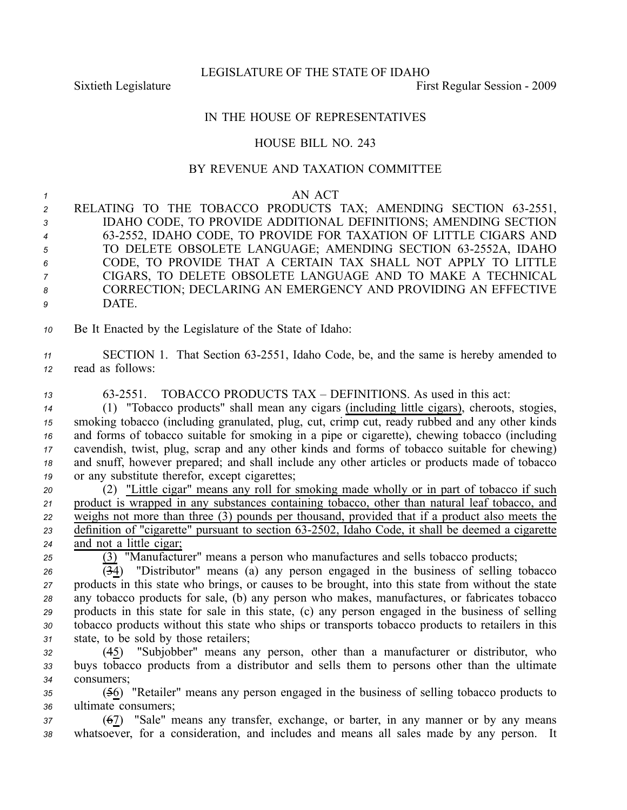LEGISLATURE OF THE STATE OF IDAHO

Sixtieth Legislature **First** Regular Session - 2009

# IN THE HOUSE OF REPRESENTATIVES

# HOUSE BILL NO. 243

### BY REVENUE AND TAXATION COMMITTEE

#### *1* AN ACT

- 2 RELATING TO THE TOBACCO PRODUCTS TAX; AMENDING SECTION 63-2551, *<sup>3</sup>* IDAHO CODE, TO PROVIDE ADDITIONAL DEFINITIONS; AMENDING SECTION *<sup>4</sup>* 632552, IDAHO CODE, TO PROVIDE FOR TAXATION OF LITTLE CIGARS AND 5 TO DELETE OBSOLETE LANGUAGE; AMENDING SECTION 63-2552A, IDAHO *<sup>6</sup>* CODE, TO PROVIDE THAT A CERTAIN TAX SHALL NOT APPLY TO LITTLE *<sup>7</sup>* CIGARS, TO DELETE OBSOLETE LANGUAGE AND TO MAKE A TECHNICAL *<sup>8</sup>* CORRECTION; DECLARING AN EMERGENCY AND PROVIDING AN EFFECTIVE *9* DATE.
- *<sup>10</sup>* Be It Enacted by the Legislature of the State of Idaho:
- 11 SECTION 1. That Section 63-2551, Idaho Code, be, and the same is hereby amended to *<sup>12</sup>* read as follows:
- *<sup>13</sup>* 632551. TOBACCO PRODUCTS TAX DEFINITIONS. As used in this act:
- *<sup>14</sup>* (1) "Tobacco products" shall mean any cigars (including little cigars), cheroots, stogies, *<sup>15</sup>* smoking tobacco (including granulated, plug, cut, crimp cut, ready rubbed and any other kinds *<sup>16</sup>* and forms of tobacco suitable for smoking in <sup>a</sup> pipe or cigarette), chewing tobacco (including *<sup>17</sup>* cavendish, twist, plug, scrap and any other kinds and forms of tobacco suitable for chewing) *<sup>18</sup>* and snuff, however prepared; and shall include any other articles or products made of tobacco *<sup>19</sup>* or any substitute therefor, excep<sup>t</sup> cigarettes;
- *<sup>20</sup>* (2) "Little cigar" means any roll for smoking made wholly or in par<sup>t</sup> of tobacco if such *<sup>21</sup>* product is wrapped in any substances containing tobacco, other than natural leaf tobacco, and *<sup>22</sup>* weighs not more than three (3) pounds per thousand, provided that if <sup>a</sup> product also meets the *<sup>23</sup>* definition of "cigarette" pursuan<sup>t</sup> to section 632502, Idaho Code, it shall be deemed <sup>a</sup> cigarette *<sup>24</sup>* and not <sup>a</sup> little cigar;
- *<sup>25</sup>* (3) "Manufacturer" means <sup>a</sup> person who manufactures and sells tobacco products;
- $\overline{(34)}$  "Distributor" means (a) any person engaged in the business of selling tobacco *<sup>27</sup>* products in this state who brings, or causes to be brought, into this state from without the state *<sup>28</sup>* any tobacco products for sale, (b) any person who makes, manufactures, or fabricates tobacco *<sup>29</sup>* products in this state for sale in this state, (c) any person engaged in the business of selling *<sup>30</sup>* tobacco products without this state who ships or transports tobacco products to retailers in this *<sup>31</sup>* state, to be sold by those retailers;
- *<sup>32</sup>* (45) "Subjobber" means any person, other than <sup>a</sup> manufacturer or distributor, who *<sup>33</sup>* buys tobacco products from <sup>a</sup> distributor and sells them to persons other than the ultimate *34* consumers;
- *<sup>35</sup>* (56) "Retailer" means any person engaged in the business of selling tobacco products to *<sup>36</sup>* ultimate consumers;
- *<sup>37</sup>* (67) "Sale" means any transfer, exchange, or barter, in any manner or by any means *<sup>38</sup>* whatsoever, for <sup>a</sup> consideration, and includes and means all sales made by any person. It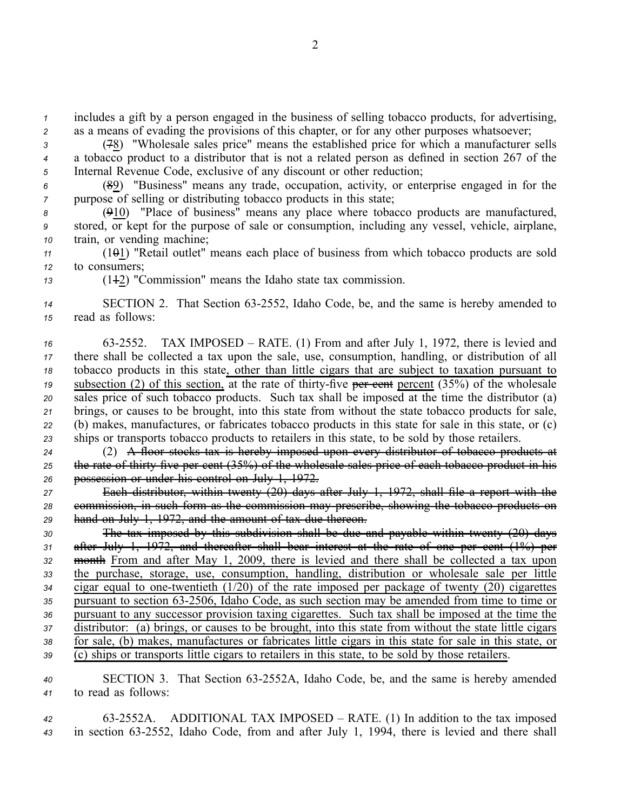*<sup>1</sup>* includes <sup>a</sup> gift by <sup>a</sup> person engaged in the business of selling tobacco products, for advertising, *<sup>2</sup>* as <sup>a</sup> means of evading the provisions of this chapter, or for any other purposes whatsoever;

*<sup>3</sup>* (78) "Wholesale sales price" means the established price for which <sup>a</sup> manufacturer sells *<sup>4</sup>* <sup>a</sup> tobacco product to <sup>a</sup> distributor that is not <sup>a</sup> related person as defined in section 267 of the *<sup>5</sup>* Internal Revenue Code, exclusive of any discount or other reduction;

*<sup>6</sup>* (89) "Business" means any trade, occupation, activity, or enterprise engaged in for the *7* purpose of selling or distributing tobacco products in this state;

*<sup>8</sup>* (910) "Place of business" means any place where tobacco products are manufactured, *<sup>9</sup>* stored, or kept for the purpose of sale or consumption, including any vessel, vehicle, airplane, *<sup>10</sup>* train, or vending machine;

- *<sup>11</sup>* (101) "Retail outlet" means each place of business from which tobacco products are sold *<sup>12</sup>* to consumers;
- 

*<sup>13</sup>* (112) "Commission" means the Idaho state tax commission.

14 SECTION 2. That Section 63-2552, Idaho Code, be, and the same is hereby amended to *<sup>15</sup>* read as follows:

 632552. TAX IMPOSED – RATE. (1) From and after July 1, 1972, there is levied and there shall be collected <sup>a</sup> tax upon the sale, use, consumption, handling, or distribution of all tobacco products in this state, other than little cigars that are subject to taxation pursuan<sup>t</sup> to <sup>19</sup> subsection (2) of this section, at the rate of thirty-five per cent percent (35%) of the wholesale sales price of such tobacco products. Such tax shall be imposed at the time the distributor (a) brings, or causes to be brought, into this state from without the state tobacco products for sale, (b) makes, manufactures, or fabricates tobacco products in this state for sale in this state, or (c) ships or transports tobacco products to retailers in this state, to be sold by those retailers.

*<sup>24</sup>* (2) A floor stocks tax is hereby imposed upon every distributor of tobacco products at 25 the rate of thirty five per cent (35%) of the wholesale sales price of each tobacco product in his *<sup>26</sup>* possession or under his control on July 1, 1972.

*<sup>27</sup>* Each distributor, within twenty (20) days after July 1, 1972, shall file <sup>a</sup> repor<sup>t</sup> with the *<sup>28</sup>* commission, in such form as the commission may prescribe, showing the tobacco products on *<sup>29</sup>* hand on July 1, 1972, and the amount of tax due thereon.

 The tax imposed by this subdivision shall be due and payable within twenty (20) days after July 1, 1972, and thereafter shall bear interest at the rate of one per cent (1%) per month From and after May 1, 2009, there is levied and there shall be collected <sup>a</sup> tax upon the purchase, storage, use, consumption, handling, distribution or wholesale sale per little cigar equal to one-twentieth  $(1/20)$  of the rate imposed per package of twenty  $(20)$  cigarettes <sup>35</sup> pursuant to section 63-2506, Idaho Code, as such section may be amended from time to time or pursuan<sup>t</sup> to any successor provision taxing cigarettes. Such tax shall be imposed at the time the distributor: (a) brings, or causes to be brought, into this state from without the state little cigars for sale, (b) makes, manufactures or fabricates little cigars in this state for sale in this state, or (c) ships or transports little cigars to retailers in this state, to be sold by those retailers.

*<sup>40</sup>* SECTION 3. That Section 632552A, Idaho Code, be, and the same is hereby amended *<sup>41</sup>* to read as follows:

*<sup>42</sup>* 632552A. ADDITIONAL TAX IMPOSED – RATE. (1) In addition to the tax imposed 43 in section 63-2552, Idaho Code, from and after July 1, 1994, there is levied and there shall